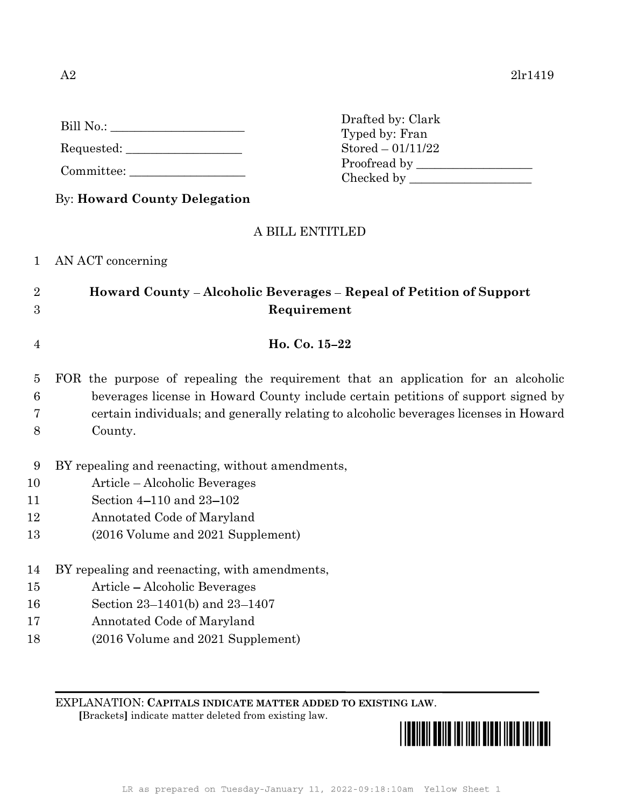| Bill No.: |  |
|-----------|--|
|           |  |

Requested: \_\_\_\_\_\_\_\_\_\_\_\_\_\_\_\_\_\_\_

Committee:

Drafted by: Clark Typed by: Fran  $Stored - 01/11/22$ Proofread by Checked by \_\_\_\_\_\_\_\_\_\_\_\_\_\_\_\_\_\_\_\_

# By: Howard County Delegation

### A BILL ENTITLED

### 1 AN ACT concerning

# 2 Howard County – Alcoholic Beverages – Repeal of Petition of Support 3 Requirement

4 **Ho. Co. 15–22** 

5 FOR the purpose of repealing the requirement that an application for an alcoholic 6 beverages license in Howard County include certain petitions of support signed by 7 certain individuals; and generally relating to alcoholic beverages licenses in Howard 8 County.

- 9 BY repealing and reenacting, without amendments,
- 10 Article Alcoholic Beverages
- 11 Section 4–110 and 23–102
- 12 Annotated Code of Maryland
- 13 (2016 Volume and 2021 Supplement)
- 14 BY repealing and reenacting, with amendments,
- 15 Article Alcoholic Beverages
- 16 Section 23–1401(b) and 23–1407
- 17 Annotated Code of Maryland
- 18 (2016 Volume and 2021 Supplement)

EXPLANATION: CAPITALS INDICATE MATTER ADDED TO EXISTING LAW. [Brackets] indicate matter deleted from existing law.  $\frac{1}{2}$ 

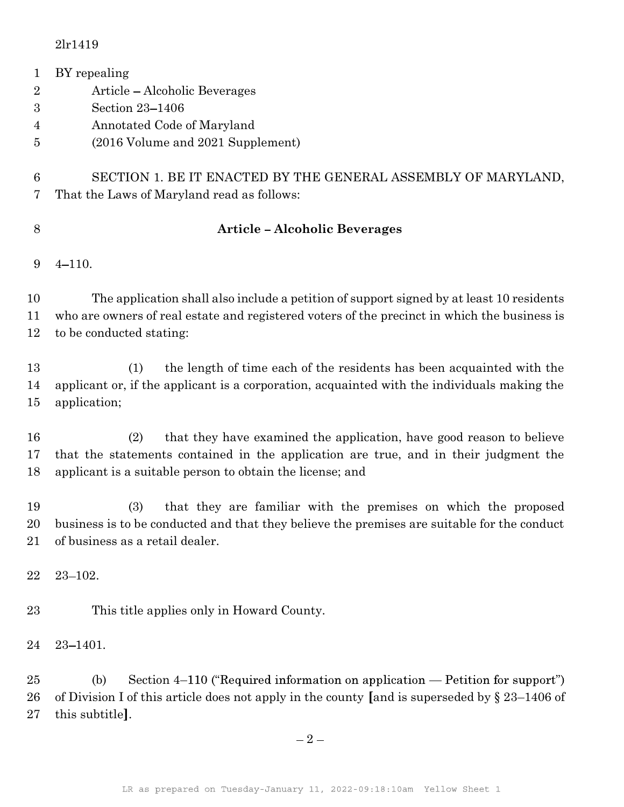| $\mathbf{1}$     | BY repealing                                                                                     |  |
|------------------|--------------------------------------------------------------------------------------------------|--|
| $\overline{2}$   | Article – Alcoholic Beverages                                                                    |  |
| $\boldsymbol{3}$ | Section 23-1406                                                                                  |  |
| 4                | Annotated Code of Maryland                                                                       |  |
| 5                | (2016 Volume and 2021 Supplement)                                                                |  |
| 6                | SECTION 1. BE IT ENACTED BY THE GENERAL ASSEMBLY OF MARYLAND,                                    |  |
| 7                | That the Laws of Maryland read as follows:                                                       |  |
| 8                | <b>Article-Alcoholic Beverages</b>                                                               |  |
| 9                | $4 - 110.$                                                                                       |  |
| 10               | The application shall also include a petition of support signed by at least 10 residents         |  |
| 11               | who are owners of real estate and registered voters of the precinct in which the business is     |  |
| 12               | to be conducted stating:                                                                         |  |
| 13               | the length of time each of the residents has been acquainted with the<br>(1)                     |  |
| 14               | applicant or, if the applicant is a corporation, acquainted with the individuals making the      |  |
| $15\,$           | application;                                                                                     |  |
| 16               | that they have examined the application, have good reason to believe<br>(2)                      |  |
| 17               | that the statements contained in the application are true, and in their judgment the             |  |
| 18               | applicant is a suitable person to obtain the license; and                                        |  |
| 19               | (3)<br>that they are familiar with the premises on which the proposed                            |  |
| $20\,$           | business is to be conducted and that they believe the premises are suitable for the conduct      |  |
| 21               | of business as a retail dealer.                                                                  |  |
| 22               | $23 - 102.$                                                                                      |  |
| $^{23}$          | This title applies only in Howard County.                                                        |  |
|                  |                                                                                                  |  |
| 24               | $23 - 1401.$                                                                                     |  |
| $25\,$           | Section 4–110 ("Required information on application — Petition for support")<br>(b)              |  |
| 26               | of Division I of this article does not apply in the county [and is superseded by $\S 23-1406$ of |  |
| $27\,$           | this subtitle.                                                                                   |  |
|                  |                                                                                                  |  |

 $-2-$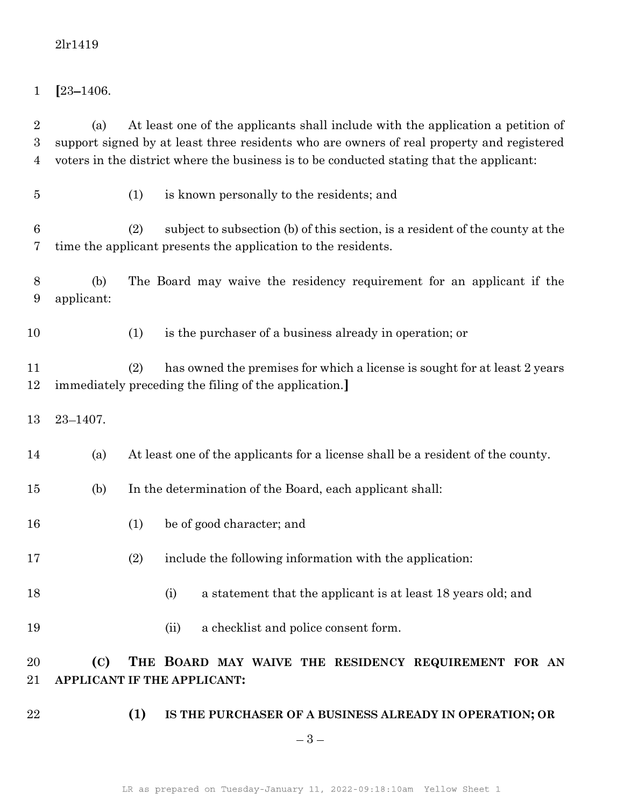$1 \quad [23 - 1406.$ 

2 (a) At least one of the applicants shall include with the application a petition of 3 support signed by at least three residents who are owners of real property and registered 4 voters in the district where the business is to be conducted stating that the applicant:

- 
- 5 (1) is known personally to the residents; and

6 (2) subject to subsection (b) of this section, is a resident of the county at the 7 time the applicant presents the application to the residents.

8 (b) The Board may waive the residency requirement for an applicant if the 9 applicant:

10 (1) is the purchaser of a business already in operation; or

11 (2) has owned the premises for which a license is sought for at least 2 years 12 immediately preceding the filing of the application.]

13 23 – 1407.

14 (a) At least one of the applicants for a license shall be a resident of the county.

- 15 (b) In the determination of the Board, each applicant shall:
- 16 (1) be of good character; and
- 17 (2) include the following information with the application:
- 18 (i) a statement that the applicant is at least 18 years old; and
- 19 (ii) a checklist and police consent form.

20 **(C)** THE BOARD MAY WAIVE THE RESIDENCY REQUIREMENT FOR AN 21 APPLICANT IF THE APPLICANT:

22 **(1) IS THE PURCHASER OF A BUSINESS ALREADY IN OPERATION; OR** 

 $-3-$